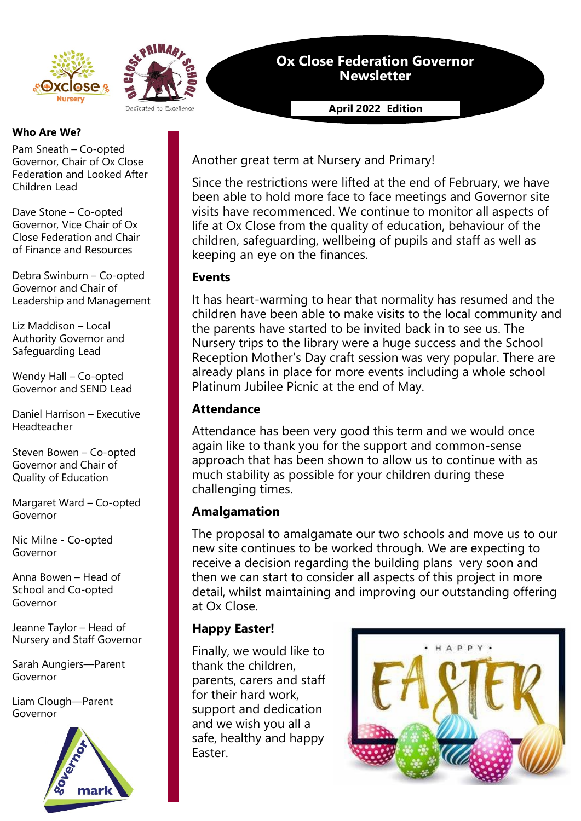



## **Ox Close Federation Governor Newsletter**

**April 2022 Edition**

### **Who Are We?**

Pam Sneath – Co-opted Governor, Chair of Ox Close Federation and Looked After Children Lead

Dave Stone – Co-opted Governor, Vice Chair of Ox Close Federation and Chair of Finance and Resources

Debra Swinburn – Co-opted Governor and Chair of Leadership and Management

Liz Maddison – Local Authority Governor and Safeguarding Lead

Wendy Hall – Co-opted Governor and SEND Lead

Daniel Harrison – Executive Headteacher

Steven Bowen – Co-opted Governor and Chair of Quality of Education

Margaret Ward – Co-opted Governor

Nic Milne - Co-opted Governor

Anna Bowen – Head of School and Co-opted Governor

Jeanne Taylor – Head of Nursery and Staff Governor

Sarah Aungiers—Parent Governor

Liam Clough—Parent Governor



Another great term at Nursery and Primary!

Since the restrictions were lifted at the end of February, we have been able to hold more face to face meetings and Governor site visits have recommenced. We continue to monitor all aspects of life at Ox Close from the quality of education, behaviour of the children, safeguarding, wellbeing of pupils and staff as well as keeping an eye on the finances.

### **Events**

It has heart-warming to hear that normality has resumed and the children have been able to make visits to the local community and the parents have started to be invited back in to see us. The Nursery trips to the library were a huge success and the School Reception Mother's Day craft session was very popular. There are already plans in place for more events including a whole school Platinum Jubilee Picnic at the end of May.

### **Attendance**

Attendance has been very good this term and we would once again like to thank you for the support and common-sense approach that has been shown to allow us to continue with as much stability as possible for your children during these challenging times.

## **Amalgamation**

The proposal to amalgamate our two schools and move us to our new site continues to be worked through. We are expecting to receive a decision regarding the building plans very soon and then we can start to consider all aspects of this project in more detail, whilst maintaining and improving our outstanding offering at Ox Close.

## **Happy Easter!**

Finally, we would like to thank the children, parents, carers and staff for their hard work, support and dedication and we wish you all a safe, healthy and happy Easter.